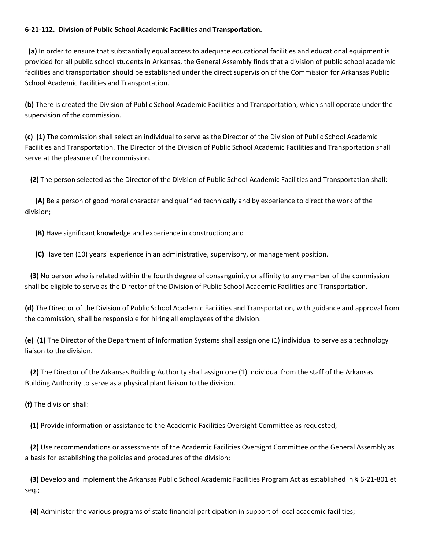## **6-21-112. Division of Public School Academic Facilities and Transportation.**

 **(a)** In order to ensure that substantially equal access to adequate educational facilities and educational equipment is provided for all public school students in Arkansas, the General Assembly finds that a division of public school academic facilities and transportation should be established under the direct supervision of the Commission for Arkansas Public School Academic Facilities and Transportation.

**(b)** There is created the Division of Public School Academic Facilities and Transportation, which shall operate under the supervision of the commission.

**(c) (1)** The commission shall select an individual to serve as the Director of the Division of Public School Academic Facilities and Transportation. The Director of the Division of Public School Academic Facilities and Transportation shall serve at the pleasure of the commission.

**(2)** The person selected as the Director of the Division of Public School Academic Facilities and Transportation shall:

 **(A)** Be a person of good moral character and qualified technically and by experience to direct the work of the division;

**(B)** Have significant knowledge and experience in construction; and

**(C)** Have ten (10) years' experience in an administrative, supervisory, or management position.

 **(3)** No person who is related within the fourth degree of consanguinity or affinity to any member of the commission shall be eligible to serve as the Director of the Division of Public School Academic Facilities and Transportation.

**(d)** The Director of the Division of Public School Academic Facilities and Transportation, with guidance and approval from the commission, shall be responsible for hiring all employees of the division.

**(e) (1)** The Director of the Department of Information Systems shall assign one (1) individual to serve as a technology liaison to the division.

 **(2)** The Director of the Arkansas Building Authority shall assign one (1) individual from the staff of the Arkansas Building Authority to serve as a physical plant liaison to the division.

**(f)** The division shall:

**(1)** Provide information or assistance to the Academic Facilities Oversight Committee as requested;

 **(2)** Use recommendations or assessments of the Academic Facilities Oversight Committee or the General Assembly as a basis for establishing the policies and procedures of the division;

 **(3)** Develop and implement the Arkansas Public School Academic Facilities Program Act as established in § 6-21-801 et seq.;

**(4)** Administer the various programs of state financial participation in support of local academic facilities;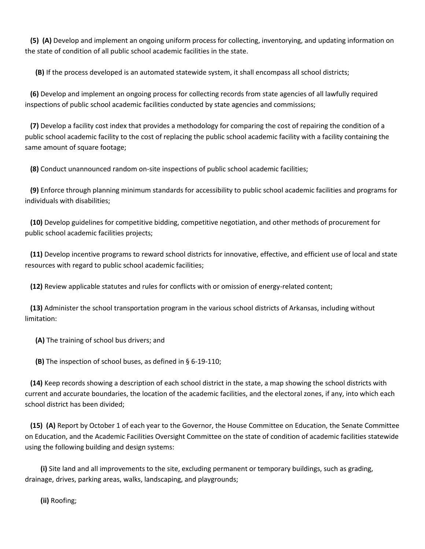**(5) (A)** Develop and implement an ongoing uniform process for collecting, inventorying, and updating information on the state of condition of all public school academic facilities in the state.

**(B)** If the process developed is an automated statewide system, it shall encompass all school districts;

 **(6)** Develop and implement an ongoing process for collecting records from state agencies of all lawfully required inspections of public school academic facilities conducted by state agencies and commissions;

 **(7)** Develop a facility cost index that provides a methodology for comparing the cost of repairing the condition of a public school academic facility to the cost of replacing the public school academic facility with a facility containing the same amount of square footage;

**(8)** Conduct unannounced random on-site inspections of public school academic facilities;

 **(9)** Enforce through planning minimum standards for accessibility to public school academic facilities and programs for individuals with disabilities;

 **(10)** Develop guidelines for competitive bidding, competitive negotiation, and other methods of procurement for public school academic facilities projects;

 **(11)** Develop incentive programs to reward school districts for innovative, effective, and efficient use of local and state resources with regard to public school academic facilities;

**(12)** Review applicable statutes and rules for conflicts with or omission of energy-related content;

 **(13)** Administer the school transportation program in the various school districts of Arkansas, including without limitation:

**(A)** The training of school bus drivers; and

**(B)** The inspection of school buses, as defined in § 6-19-110;

 **(14)** Keep records showing a description of each school district in the state, a map showing the school districts with current and accurate boundaries, the location of the academic facilities, and the electoral zones, if any, into which each school district has been divided;

 **(15) (A)** Report by October 1 of each year to the Governor, the House Committee on Education, the Senate Committee on Education, and the Academic Facilities Oversight Committee on the state of condition of academic facilities statewide using the following building and design systems:

 **(i)** Site land and all improvements to the site, excluding permanent or temporary buildings, such as grading, drainage, drives, parking areas, walks, landscaping, and playgrounds;

**(ii)** Roofing;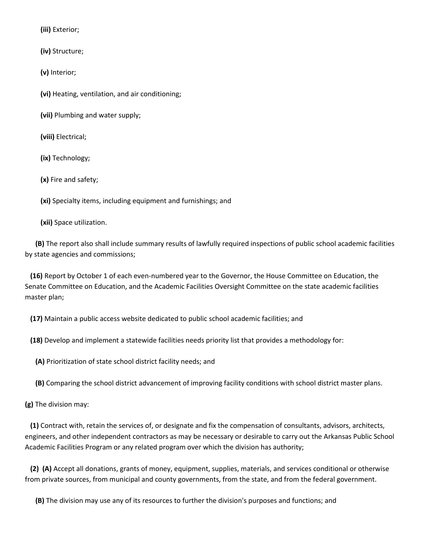**(iii)** Exterior;

**(iv)** Structure;

**(v)** Interior;

**(vi)** Heating, ventilation, and air conditioning;

**(vii)** Plumbing and water supply;

**(viii)** Electrical;

**(ix)** Technology;

**(x)** Fire and safety;

**(xi)** Specialty items, including equipment and furnishings; and

**(xii)** Space utilization.

 **(B)** The report also shall include summary results of lawfully required inspections of public school academic facilities by state agencies and commissions;

 **(16)** Report by October 1 of each even-numbered year to the Governor, the House Committee on Education, the Senate Committee on Education, and the Academic Facilities Oversight Committee on the state academic facilities master plan;

**(17)** Maintain a public access website dedicated to public school academic facilities; and

**(18)** Develop and implement a statewide facilities needs priority list that provides a methodology for:

**(A)** Prioritization of state school district facility needs; and

**(B)** Comparing the school district advancement of improving facility conditions with school district master plans.

**(g)** The division may:

 **(1)** Contract with, retain the services of, or designate and fix the compensation of consultants, advisors, architects, engineers, and other independent contractors as may be necessary or desirable to carry out the Arkansas Public School Academic Facilities Program or any related program over which the division has authority;

 **(2) (A)** Accept all donations, grants of money, equipment, supplies, materials, and services conditional or otherwise from private sources, from municipal and county governments, from the state, and from the federal government.

**(B)** The division may use any of its resources to further the division's purposes and functions; and